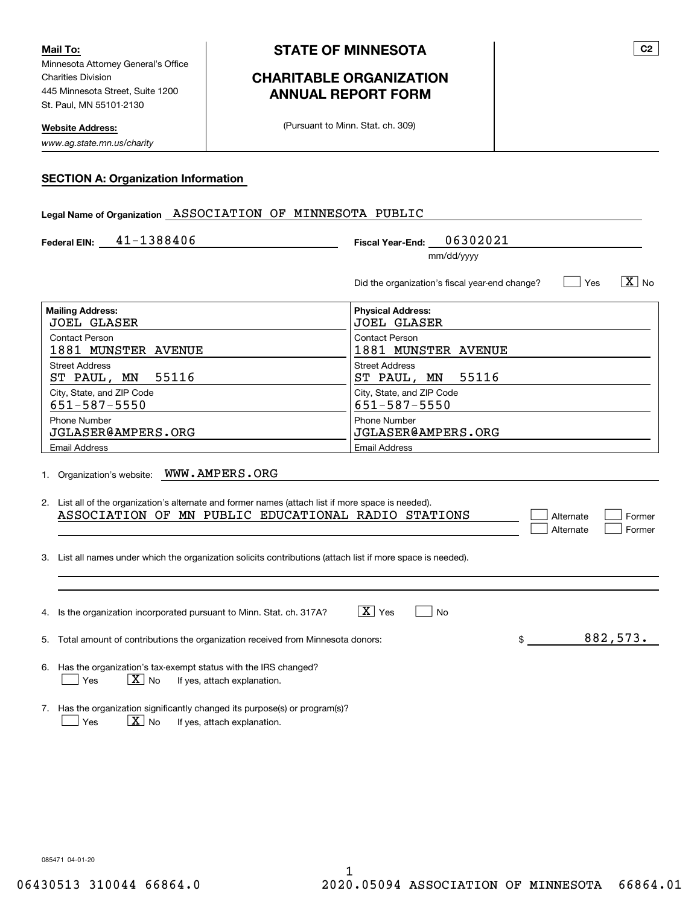Minnesota Attorney General's Office Charities Division 445 Minnesota Street, Suite 1200 St. Paul, MN 55101-2130 **Mail To:**

**Website Address:**

*www.ag.state.mn.us/charity*

# **CHARITABLE ORGANIZATION ANNUAL REPORT FORM**

(Pursuant to Minn. Stat. ch. 309)

#### **SECTION A: Organization Information**

### **Legal Name of Organization** ASSOCIATION OF MINNESOTA PUBLIC

| Federal EIN: | 41-1388406 | 06302021<br><b>Fiscal Year-End:</b> |
|--------------|------------|-------------------------------------|
|              |            | mm/dd/yyyy                          |

| Did the organization's fiscal year-end change? | Yes | $\boxed{\text{X}}$ No |
|------------------------------------------------|-----|-----------------------|
|                                                |     |                       |

| <b>Mailing Address:</b>   | <b>Physical Address:</b>  |
|---------------------------|---------------------------|
| <b>JOEL GLASER</b>        | <b>JOEL GLASER</b>        |
| Contact Person            | <b>Contact Person</b>     |
| 1881 MUNSTER AVENUE       | 1881 MUNSTER AVENUE       |
| <b>Street Address</b>     | <b>Street Address</b>     |
| ST PAUL, MN 55116         | ST PAUL, MN 55116         |
| City, State, and ZIP Code | City, State, and ZIP Code |
| 651-587-5550              | 651-587-5550              |
| <b>Phone Number</b>       | <b>Phone Number</b>       |
| JGLASER@AMPERS.ORG        | JGLASER@AMPERS.ORG        |
| <b>Email Address</b>      | <b>Email Address</b>      |

1. Organization's website: WWW . AMPERS . ORG

| 2. List all of the organization's alternate and former names (attach list if more space is needed). |  |  |  |                                                     |  |           |          |
|-----------------------------------------------------------------------------------------------------|--|--|--|-----------------------------------------------------|--|-----------|----------|
|                                                                                                     |  |  |  | ASSOCIATION OF MN PUBLIC EDUCATIONAL RADIO STATIONS |  | Alternate | l Former |
|                                                                                                     |  |  |  |                                                     |  | Alternate | Former   |

3. List all names under which the organization solicits contributions (attach list if more space is needed).

| $\overline{X}$ Yes<br>No<br>4. Is the organization incorporated pursuant to Minn. Stat. ch. 317A?                          |          |
|----------------------------------------------------------------------------------------------------------------------------|----------|
| 5. Total amount of contributions the organization received from Minnesota donors:                                          | 882,573. |
| 6. Has the organization's tax-exempt status with the IRS changed?<br>$X $ No<br>If yes, attach explanation.<br>Yes         |          |
| Has the organization significantly changed its purpose(s) or program(s)?<br>x<br>If yes, attach explanation.<br>No.<br>Yes |          |

085471 04-01-20

**C2**

 $X_{\text{No}}$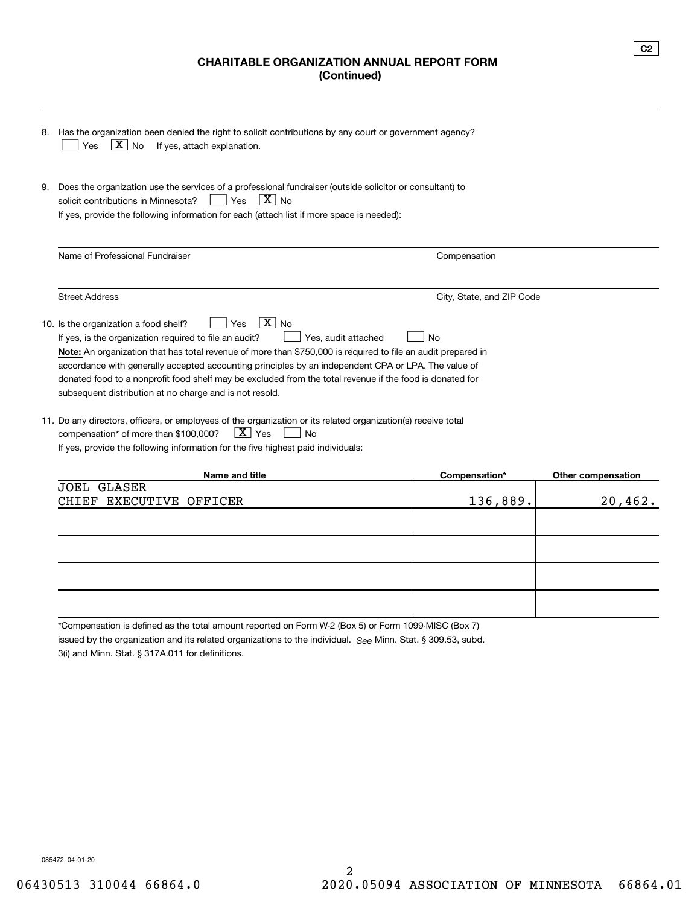# **CHARITABLE ORGANIZATION ANNUAL REPORT FORM (Continued)**

|    | 8. Has the organization been denied the right to solicit contributions by any court or government agency?<br>$\boxed{\text{X}}$ No<br>If yes, attach explanation.<br>Yes                                                                                                                                                                                                                                                                                                                                                                                |                           |                    |
|----|---------------------------------------------------------------------------------------------------------------------------------------------------------------------------------------------------------------------------------------------------------------------------------------------------------------------------------------------------------------------------------------------------------------------------------------------------------------------------------------------------------------------------------------------------------|---------------------------|--------------------|
| 9. | Does the organization use the services of a professional fundraiser (outside solicitor or consultant) to<br>$X _{NQ}$<br>solicit contributions in Minnesota?<br>Yes<br>If yes, provide the following information for each (attach list if more space is needed):                                                                                                                                                                                                                                                                                        |                           |                    |
|    | Name of Professional Fundraiser                                                                                                                                                                                                                                                                                                                                                                                                                                                                                                                         | Compensation              |                    |
|    | <b>Street Address</b>                                                                                                                                                                                                                                                                                                                                                                                                                                                                                                                                   | City, State, and ZIP Code |                    |
|    | $\overline{X}$ No<br>10. Is the organization a food shelf?<br>Yes<br>Yes, audit attached<br>If yes, is the organization required to file an audit?<br><b>Note:</b> An organization that has total revenue of more than \$750,000 is required to file an audit prepared in<br>accordance with generally accepted accounting principles by an independent CPA or LPA. The value of<br>donated food to a nonprofit food shelf may be excluded from the total revenue if the food is donated for<br>subsequent distribution at no charge and is not resold. | No                        |                    |
|    | 11. Do any directors, officers, or employees of the organization or its related organization(s) receive total<br>$\boxed{\text{X}}$ Yes<br>compensation* of more than \$100,000?<br><b>No</b><br>If yes, provide the following information for the five highest paid individuals:                                                                                                                                                                                                                                                                       |                           |                    |
|    | Name and title                                                                                                                                                                                                                                                                                                                                                                                                                                                                                                                                          | Compensation*             | Other compensation |
|    | <b>GLASER</b><br>JOEL.<br><b>EXECUTIVE</b><br>OFFICER<br>CHIEF                                                                                                                                                                                                                                                                                                                                                                                                                                                                                          | 136,889.                  | 20,462.            |

\*Compensation is defined as the total amount reported on Form W-2 (Box 5) or Form 1099-MISC (Box 7)

issued by the organization and its related organizations to the individual. S<sub>ee</sub> Minn. Stat. § 309.53, subd.

3(i) and Minn. Stat. § 317A.011 for definitions.

085472 04-01-20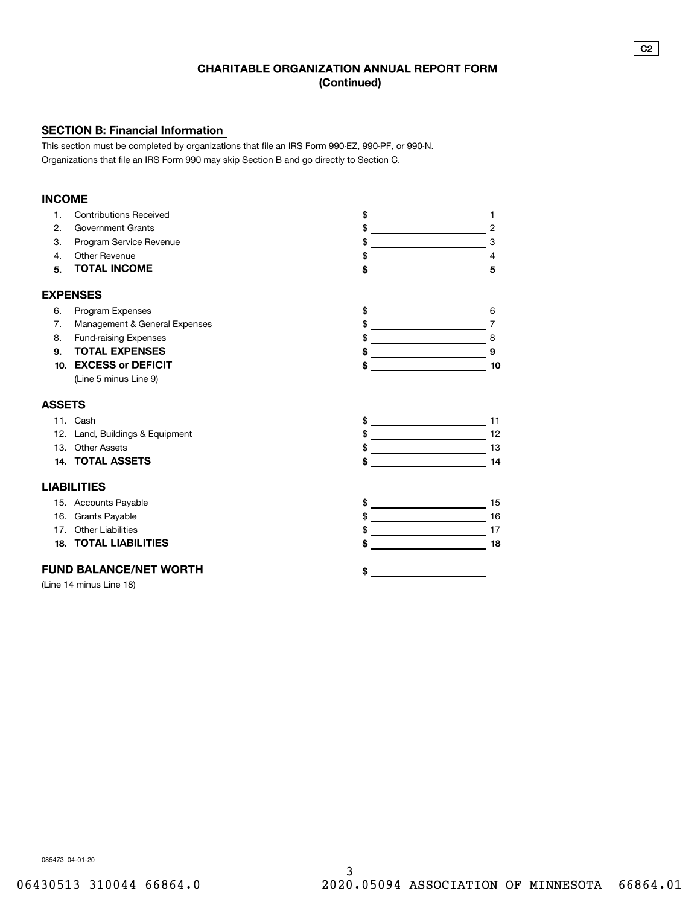### **SECTION B: Financial Information**

This section must be completed by organizations that file an IRS Form 990-EZ, 990-PF, or 990-N. Organizations that file an IRS Form 990 may skip Section B and go directly to Section C.

### **INCOME**

| 1.            | <b>Contributions Received</b>   | \$                                                     |                                                                |
|---------------|---------------------------------|--------------------------------------------------------|----------------------------------------------------------------|
| 2.            | <b>Government Grants</b>        | \$                                                     | $\overline{2}$<br><u> 1989 - Johann Barn, fransk politik (</u> |
| 3.            | Program Service Revenue         | \$                                                     | 3                                                              |
| 4.            | <b>Other Revenue</b>            | \$<br><u> Alexandria de la conte</u>                   | $\overline{4}$                                                 |
| 5.            | <b>TOTAL INCOME</b>             | \$                                                     | 5                                                              |
|               | <b>EXPENSES</b>                 |                                                        |                                                                |
| 6.            | Program Expenses                | \$                                                     | 6                                                              |
| 7.            | Management & General Expenses   | <u> 1989 - Johann Barnett, fransk politik (</u>        | $\overline{7}$                                                 |
| 8.            | <b>Fund-raising Expenses</b>    | \$                                                     | $\overline{\phantom{a}}$ 8                                     |
| 9.            | <b>TOTAL EXPENSES</b>           |                                                        | 9                                                              |
| 10.           | <b>EXCESS or DEFICIT</b>        | \$                                                     | 10                                                             |
|               | (Line 5 minus Line 9)           |                                                        |                                                                |
| <b>ASSETS</b> |                                 |                                                        |                                                                |
|               | 11. Cash                        | \$<br><u> 1989 - Johann Barn, amerikansk politiker</u> | 11                                                             |
|               | 12. Land, Buildings & Equipment |                                                        | 12                                                             |
|               | 13. Other Assets                |                                                        | 13                                                             |
|               | <b>14. TOTAL ASSETS</b>         | \$                                                     | 14                                                             |
|               | <b>LIABILITIES</b>              |                                                        |                                                                |
|               | 15. Accounts Payable            | \$                                                     | 15                                                             |
|               | 16. Grants Payable              | $\frac{1}{2}$                                          | 16                                                             |
|               | 17. Other Liabilities           |                                                        | 17                                                             |
|               | <b>18. TOTAL LIABILITIES</b>    | \$                                                     | 18                                                             |
|               | <b>FUND BALANCE/NET WORTH</b>   | \$                                                     |                                                                |
|               | (Line 14 minus Line 18)         |                                                        |                                                                |

085473 04-01-20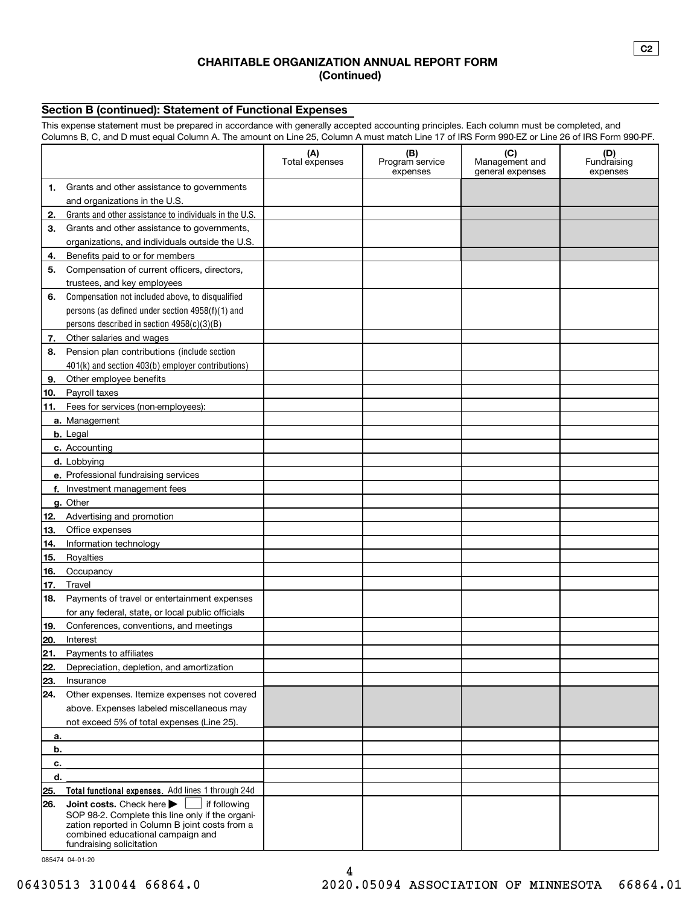### **CHARITABLE ORGANIZATION ANNUAL REPORT FORM (Continued)**

## **Section B (continued): Statement of Functional Expenses**

This expense statement must be prepared in accordance with generally accepted accounting principles. Each column must be completed, and Columns B, C, and D must equal Column A. The amount on Line 25, Column A must match Line 17 of IRS Form 990-EZ or Line 26 of IRS Form 990-PF.

|     | oddinia D, O, and D mast equal Oddini A. The amount on Eine 20, Oddini A mast materi Eine T7 or ino Form 300 E2 or Eine 20 or into Form 300 FT.                                                                | (A)<br>Total expenses | (B)<br>Program service<br>expenses | (C)<br>Management and<br>general expenses | (D)<br>Fundraising<br>expenses |
|-----|----------------------------------------------------------------------------------------------------------------------------------------------------------------------------------------------------------------|-----------------------|------------------------------------|-------------------------------------------|--------------------------------|
| 1.  | Grants and other assistance to governments                                                                                                                                                                     |                       |                                    |                                           |                                |
|     | and organizations in the U.S.                                                                                                                                                                                  |                       |                                    |                                           |                                |
| 2.  | Grants and other assistance to individuals in the U.S.                                                                                                                                                         |                       |                                    |                                           |                                |
| З.  | Grants and other assistance to governments,                                                                                                                                                                    |                       |                                    |                                           |                                |
|     | organizations, and individuals outside the U.S.                                                                                                                                                                |                       |                                    |                                           |                                |
| 4.  | Benefits paid to or for members                                                                                                                                                                                |                       |                                    |                                           |                                |
| 5.  | Compensation of current officers, directors,                                                                                                                                                                   |                       |                                    |                                           |                                |
|     | trustees, and key employees                                                                                                                                                                                    |                       |                                    |                                           |                                |
| 6.  | Compensation not included above, to disqualified                                                                                                                                                               |                       |                                    |                                           |                                |
|     | persons (as defined under section 4958(f)(1) and                                                                                                                                                               |                       |                                    |                                           |                                |
|     | persons described in section 4958(c)(3)(B)                                                                                                                                                                     |                       |                                    |                                           |                                |
| 7.  | Other salaries and wages                                                                                                                                                                                       |                       |                                    |                                           |                                |
| 8.  | Pension plan contributions (include section                                                                                                                                                                    |                       |                                    |                                           |                                |
|     | 401(k) and section 403(b) employer contributions)                                                                                                                                                              |                       |                                    |                                           |                                |
| 9.  | Other employee benefits                                                                                                                                                                                        |                       |                                    |                                           |                                |
| 10. | Payroll taxes                                                                                                                                                                                                  |                       |                                    |                                           |                                |
| 11. | Fees for services (non-employees):                                                                                                                                                                             |                       |                                    |                                           |                                |
|     | a. Management                                                                                                                                                                                                  |                       |                                    |                                           |                                |
|     | <b>b.</b> Legal                                                                                                                                                                                                |                       |                                    |                                           |                                |
|     | c. Accounting                                                                                                                                                                                                  |                       |                                    |                                           |                                |
|     | d. Lobbying                                                                                                                                                                                                    |                       |                                    |                                           |                                |
|     | e. Professional fundraising services                                                                                                                                                                           |                       |                                    |                                           |                                |
|     | f. Investment management fees                                                                                                                                                                                  |                       |                                    |                                           |                                |
|     | g. Other                                                                                                                                                                                                       |                       |                                    |                                           |                                |
| 12. | Advertising and promotion                                                                                                                                                                                      |                       |                                    |                                           |                                |
| 13. | Office expenses                                                                                                                                                                                                |                       |                                    |                                           |                                |
| 14. | Information technology                                                                                                                                                                                         |                       |                                    |                                           |                                |
| 15. | Royalties                                                                                                                                                                                                      |                       |                                    |                                           |                                |
| 16. | Occupancy                                                                                                                                                                                                      |                       |                                    |                                           |                                |
| 17. | Travel                                                                                                                                                                                                         |                       |                                    |                                           |                                |
| 18. | Payments of travel or entertainment expenses                                                                                                                                                                   |                       |                                    |                                           |                                |
|     | for any federal, state, or local public officials                                                                                                                                                              |                       |                                    |                                           |                                |
| 19. | Conferences, conventions, and meetings                                                                                                                                                                         |                       |                                    |                                           |                                |
| 20. | Interest                                                                                                                                                                                                       |                       |                                    |                                           |                                |
| 21. | Payments to affiliates                                                                                                                                                                                         |                       |                                    |                                           |                                |
| 22. | Depreciation, depletion, and amortization                                                                                                                                                                      |                       |                                    |                                           |                                |
| 23. | Insurance                                                                                                                                                                                                      |                       |                                    |                                           |                                |
| 24. | Other expenses. Itemize expenses not covered                                                                                                                                                                   |                       |                                    |                                           |                                |
|     | above. Expenses labeled miscellaneous may                                                                                                                                                                      |                       |                                    |                                           |                                |
|     | not exceed 5% of total expenses (Line 25).                                                                                                                                                                     |                       |                                    |                                           |                                |
| а.  |                                                                                                                                                                                                                |                       |                                    |                                           |                                |
| b.  |                                                                                                                                                                                                                |                       |                                    |                                           |                                |
| c.  |                                                                                                                                                                                                                |                       |                                    |                                           |                                |
| d.  |                                                                                                                                                                                                                |                       |                                    |                                           |                                |
| 25. | Total functional expenses. Add lines 1 through 24d                                                                                                                                                             |                       |                                    |                                           |                                |
| 26. | Joint costs. Check here<br>if following<br>SOP 98-2. Complete this line only if the organi-<br>zation reported in Column B joint costs from a<br>combined educational campaign and<br>fundraising solicitation |                       |                                    |                                           |                                |

085474 04-01-20